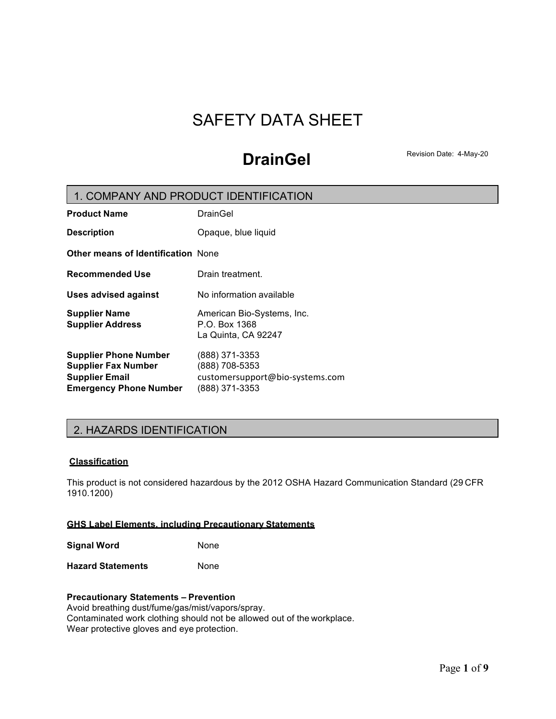# SAFETY DATA SHEET

# **DrainGel** Revision Date: 4-May-20

# **Product Name** DrainGel **Description** Opaque, blue liquid **Other means of Identification** None **Recommended Use Drain treatment. Uses advised against** No information available **Supplier Name** American Bio-Systems, Inc. **Supplier Address** P.O. Box 1368 La Quinta, CA 92247 **Supplier Phone Number** (888) 371-3353 **Supplier Fax Number** (888) 708-5353 **Supplier Email** customersupport@bio-systems.com **Emergency Phone Number** (888) 371-3353 1. COMPANY AND PRODUCT IDENTIFICATION

# 2. HAZARDS IDENTIFICATION

# **Classification**

This product is not considered hazardous by the 2012 OSHA Hazard Communication Standard (29 CFR 1910.1200)

# **GHS Label Elements, including Precautionary Statements**

**Signal Word** None

**Hazard Statements** None

# **Precautionary Statements – Prevention**

Avoid breathing dust/fume/gas/mist/vapors/spray. Contaminated work clothing should not be allowed out of the workplace. Wear protective gloves and eye protection.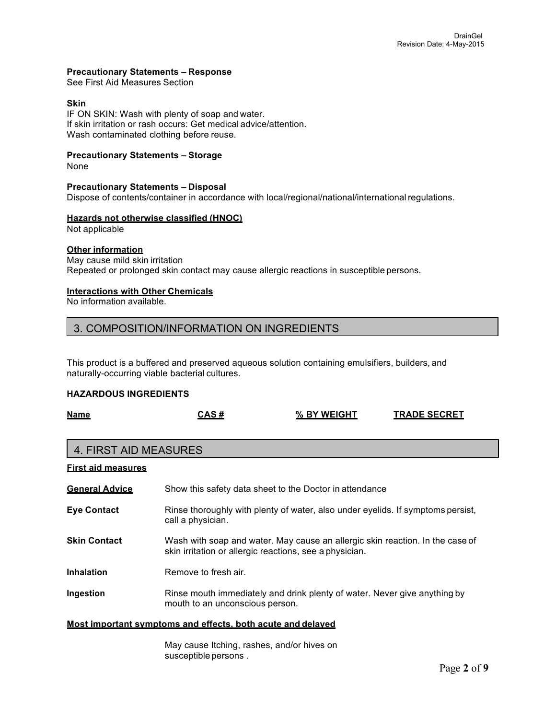## **Precautionary Statements – Response**

See First Aid Measures Section

## **Skin**

IF ON SKIN: Wash with plenty of soap and water. If skin irritation or rash occurs: Get medical advice/attention. Wash contaminated clothing before reuse.

# **Precautionary Statements – Storage**

None

# **Precautionary Statements – Disposal**

Dispose of contents/container in accordance with local/regional/national/international regulations.

### **Hazards not otherwise classified (HNOC)**

Not applicable

# **Other information**

May cause mild skin irritation Repeated or prolonged skin contact may cause allergic reactions in susceptible persons.

# **Interactions with Other Chemicals**

No information available.

# 3. COMPOSITION/INFORMATION ON INGREDIENTS

This product is a buffered and preserved aqueous solution containing emulsifiers, builders, and naturally-occurring viable bacterial cultures.

### **HAZARDOUS INGREDIENTS**

| <b>Name</b>                                                 | <u>CAS #</u>                                  | <u>% BY WEIGHT</u>                                                                                                                       | <u>TRADE SECRET</u> |
|-------------------------------------------------------------|-----------------------------------------------|------------------------------------------------------------------------------------------------------------------------------------------|---------------------|
| <b>4. FIRST AID MEASURES</b>                                |                                               |                                                                                                                                          |                     |
| <b>First aid measures</b>                                   |                                               |                                                                                                                                          |                     |
| <b>General Advice</b>                                       |                                               | Show this safety data sheet to the Doctor in attendance                                                                                  |                     |
| <b>Eye Contact</b>                                          | call a physician.                             | Rinse thoroughly with plenty of water, also under eyelids. If symptoms persist,                                                          |                     |
| <b>Skin Contact</b>                                         |                                               | Wash with soap and water. May cause an allergic skin reaction. In the case of<br>skin irritation or allergic reactions, see a physician. |                     |
| <b>Inhalation</b>                                           | Remove to fresh air.                          |                                                                                                                                          |                     |
| Ingestion                                                   | mouth to an unconscious person.               | Rinse mouth immediately and drink plenty of water. Never give anything by                                                                |                     |
| Most important symptoms and effects, both acute and delaved |                                               |                                                                                                                                          |                     |
|                                                             | $M$ ay sauga Itabing, rashea, and/ar biyas an |                                                                                                                                          |                     |

May cause Itching, rashes, and/or hives on susceptible persons .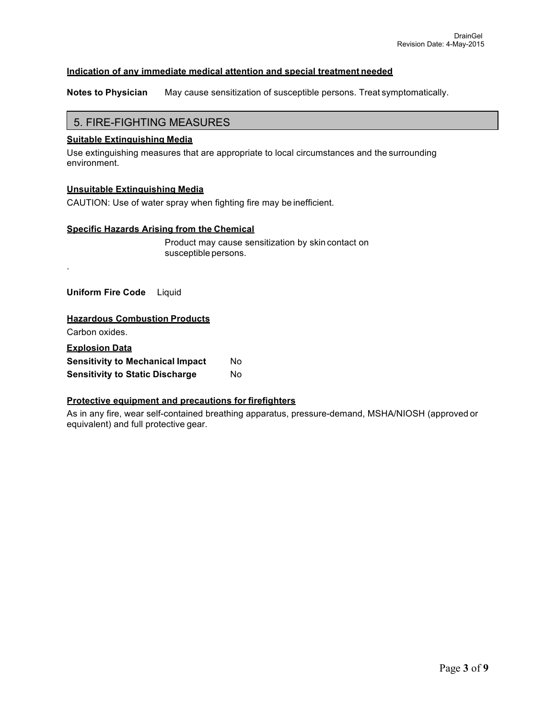## **Indication of any immediate medical attention and special treatment needed**

**Notes to Physician** May cause sensitization of susceptible persons. Treat symptomatically.

# 5. FIRE-FIGHTING MEASURES

# **Suitable Extinguishing Media**

Use extinguishing measures that are appropriate to local circumstances and the surrounding environment.

### **Unsuitable Extinguishing Media**

CAUTION: Use of water spray when fighting fire may be inefficient.

### **Specific Hazards Arising from the Chemical**

Product may cause sensitization by skin contact on susceptible persons.

 **Uniform Fire Code** Liquid

## **Hazardous Combustion Products**

Carbon oxides.

.

| <b>Explosion Data</b>                   |     |  |
|-----------------------------------------|-----|--|
| <b>Sensitivity to Mechanical Impact</b> | Nο  |  |
| <b>Sensitivity to Static Discharge</b>  | No. |  |

## **Protective equipment and precautions for firefighters**

As in any fire, wear self-contained breathing apparatus, pressure-demand, MSHA/NIOSH (approved or equivalent) and full protective gear.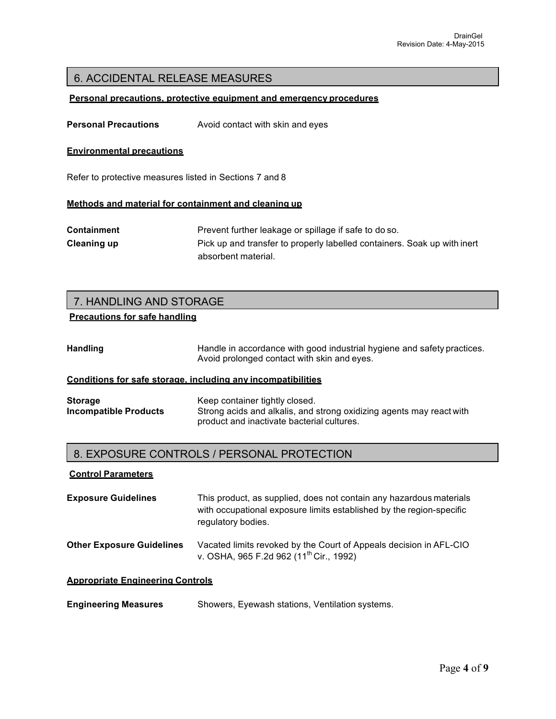# 6. ACCIDENTAL RELEASE MEASURES

### **Personal precautions, protective equipment and emergency procedures**

**Personal Precautions** Avoid contact with skin and eyes

#### **Environmental precautions**

Refer to protective measures listed in Sections 7 and 8

#### **Methods and material for containment and cleaning up**

**Containment** Prevent further leakage or spillage if safe to do so. **Cleaning up** Pick up and transfer to properly labelled containers. Soak up with inert absorbent material.

# 7. HANDLING AND STORAGE

# **Precautions for safe handling**

| <b>Handling</b> | Handle in accordance with good industrial hygiene and safety practices. |
|-----------------|-------------------------------------------------------------------------|
|                 | Avoid prolonged contact with skin and eyes.                             |

# **Conditions for safe storage, including any incompatibilities**

| <b>Storage</b>        | Keep container tightly closed.                                       |
|-----------------------|----------------------------------------------------------------------|
| Incompatible Products | Strong acids and alkalis, and strong oxidizing agents may react with |
|                       | product and inactivate bacterial cultures.                           |

# 8. EXPOSURE CONTROLS / PERSONAL PROTECTION

#### **Control Parameters**

| <b>Exposure Guidelines</b> | This product, as supplied, does not contain any hazardous materials  |
|----------------------------|----------------------------------------------------------------------|
|                            | with occupational exposure limits established by the region-specific |
|                            | regulatory bodies.                                                   |
|                            |                                                                      |

**Other Exposure Guidelines** Vacated limits revoked by the Court of Appeals decision in AFL-CIO v. OSHA, 965 F.2d 962 (11<sup>th</sup> Cir., 1992)

#### **Appropriate Engineering Controls**

| <b>Engineering Measures</b> |  | Showers, Eyewash stations, Ventilation systems. |
|-----------------------------|--|-------------------------------------------------|
|-----------------------------|--|-------------------------------------------------|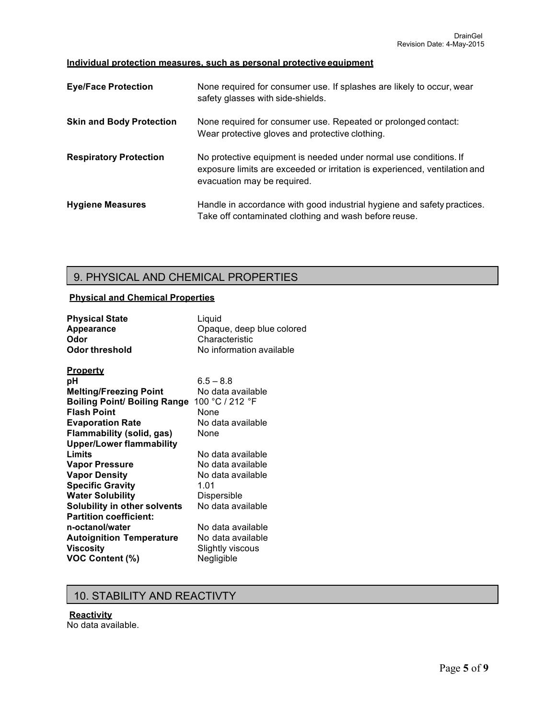# **Individual protection measures, such as personal protective equipment**

| <b>Eye/Face Protection</b>      | None required for consumer use. If splashes are likely to occur, wear<br>safety glasses with side-shields.                                                                     |
|---------------------------------|--------------------------------------------------------------------------------------------------------------------------------------------------------------------------------|
| <b>Skin and Body Protection</b> | None required for consumer use. Repeated or prolonged contact:<br>Wear protective gloves and protective clothing.                                                              |
| <b>Respiratory Protection</b>   | No protective equipment is needed under normal use conditions. If<br>exposure limits are exceeded or irritation is experienced, ventilation and<br>evacuation may be required. |
| <b>Hygiene Measures</b>         | Handle in accordance with good industrial hygiene and safety practices.<br>Take off contaminated clothing and wash before reuse.                                               |

# 9. PHYSICAL AND CHEMICAL PROPERTIES

# **Physical and Chemical Properties**

| <b>Physical State</b>               | Liquid                    |
|-------------------------------------|---------------------------|
| <b>Appearance</b>                   | Opaque, deep blue colored |
| Odor                                | Characteristic            |
| Odor threshold                      | No information available  |
| <b>Property</b>                     |                           |
| рH                                  | $6.5 - 8.8$               |
| <b>Melting/Freezing Point</b>       | No data available         |
| <b>Boiling Point/ Boiling Range</b> | 100 °C / 212 °F           |
| <b>Flash Point</b>                  | None                      |
| <b>Evaporation Rate</b>             | No data available         |
| <b>Flammability (solid, gas)</b>    | None                      |
| <b>Upper/Lower flammability</b>     |                           |
| Limits                              | No data available         |
| <b>Vapor Pressure</b>               | No data available         |
| <b>Vapor Density</b>                | No data available         |
| <b>Specific Gravity</b>             | 1.01                      |
| <b>Water Solubility</b>             | Dispersible               |
| <b>Solubility in other solvents</b> | No data available         |
| <b>Partition coefficient:</b>       |                           |
| n-octanol/water                     | No data available         |
| <b>Autoignition Temperature</b>     | No data available         |
| <b>Viscosity</b>                    | Slightly viscous          |
| <b>VOC Content (%)</b>              | Negligible                |
|                                     |                           |

# 10. STABILITY AND REACTIVTY

# **Reactivity**

No data available.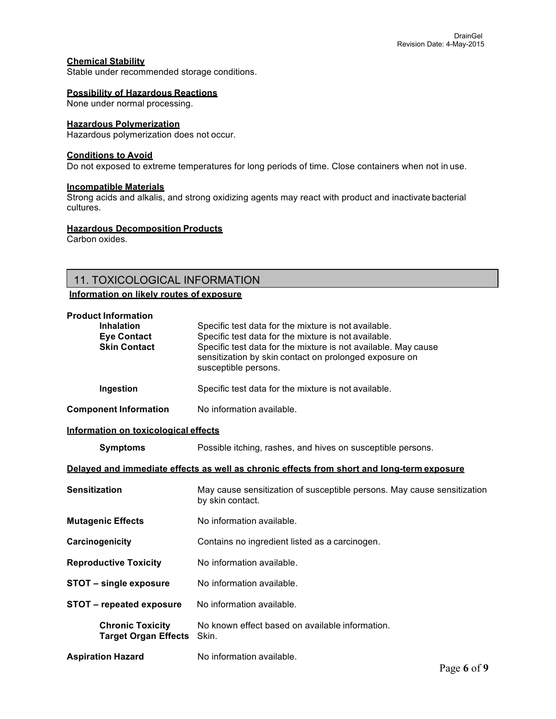## **Chemical Stability**

Stable under recommended storage conditions.

#### **Possibility of Hazardous Reactions**

None under normal processing.

#### **Hazardous Polymerization**

Hazardous polymerization does not occur.

### **Conditions to Avoid**

Do not exposed to extreme temperatures for long periods of time. Close containers when not in use.

# **Incompatible Materials**

Strong acids and alkalis, and strong oxidizing agents may react with product and inactivate bacterial cultures.

#### **Hazardous Decomposition Products**

Carbon oxides.

# 11. TOXICOLOGICAL INFORMATION

# **Information on likely routes of exposure**

| <b>Product Information</b><br><b>Inhalation</b><br><b>Eye Contact</b><br><b>Skin Contact</b> | Specific test data for the mixture is not available.<br>Specific test data for the mixture is not available.<br>Specific test data for the mixture is not available. May cause<br>sensitization by skin contact on prolonged exposure on<br>susceptible persons. |  |
|----------------------------------------------------------------------------------------------|------------------------------------------------------------------------------------------------------------------------------------------------------------------------------------------------------------------------------------------------------------------|--|
| Ingestion                                                                                    | Specific test data for the mixture is not available.                                                                                                                                                                                                             |  |
| <b>Component Information</b>                                                                 | No information available.                                                                                                                                                                                                                                        |  |
| Information on toxicological effects                                                         |                                                                                                                                                                                                                                                                  |  |
| <b>Symptoms</b>                                                                              | Possible itching, rashes, and hives on susceptible persons.                                                                                                                                                                                                      |  |
| Delayed and immediate effects as well as chronic effects from short and long-term exposure   |                                                                                                                                                                                                                                                                  |  |
| <b>Sensitization</b>                                                                         | May cause sensitization of susceptible persons. May cause sensitization<br>by skin contact.                                                                                                                                                                      |  |
| <b>Mutagenic Effects</b>                                                                     | No information available.                                                                                                                                                                                                                                        |  |
| Carcinogenicity                                                                              | Contains no ingredient listed as a carcinogen.                                                                                                                                                                                                                   |  |
| <b>Reproductive Toxicity</b>                                                                 | No information available.                                                                                                                                                                                                                                        |  |
| STOT - single exposure                                                                       | No information available.                                                                                                                                                                                                                                        |  |
| STOT - repeated exposure                                                                     | No information available.                                                                                                                                                                                                                                        |  |
| <b>Chronic Toxicity</b><br><b>Target Organ Effects</b>                                       | No known effect based on available information.<br>Skin.                                                                                                                                                                                                         |  |
| <b>Aspiration Hazard</b>                                                                     | No information available.                                                                                                                                                                                                                                        |  |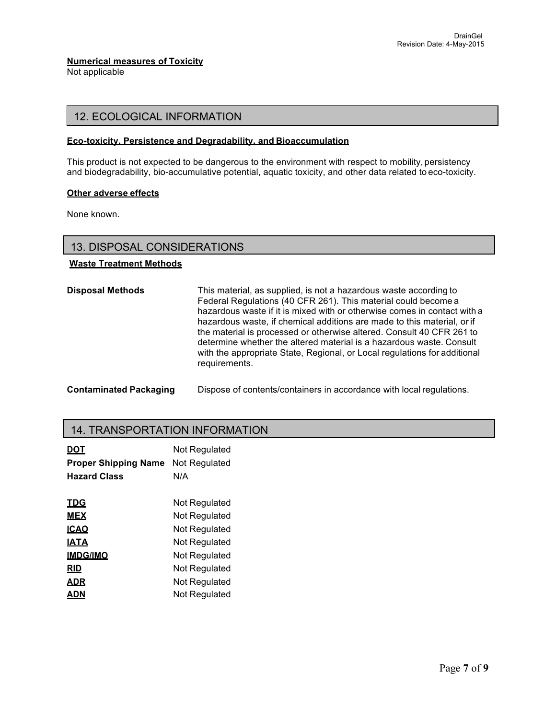# **Numerical measures of Toxicity**

Not applicable

# 12. ECOLOGICAL INFORMATION

## **Eco-toxicity, Persistence and Degradability, and Bioaccumulation**

This product is not expected to be dangerous to the environment with respect to mobility, persistency and biodegradability, bio-accumulative potential, aquatic toxicity, and other data related to eco-toxicity.

### **Other adverse effects**

None known.

# 13. DISPOSAL CONSIDERATIONS

# **Waste Treatment Methods**

| <b>Disposal Methods</b>       | This material, as supplied, is not a hazardous waste according to<br>Federal Regulations (40 CFR 261). This material could become a<br>hazardous waste if it is mixed with or otherwise comes in contact with a<br>hazardous waste, if chemical additions are made to this material, or if<br>the material is processed or otherwise altered. Consult 40 CFR 261 to<br>determine whether the altered material is a hazardous waste. Consult<br>with the appropriate State, Regional, or Local regulations for additional<br>requirements. |
|-------------------------------|-------------------------------------------------------------------------------------------------------------------------------------------------------------------------------------------------------------------------------------------------------------------------------------------------------------------------------------------------------------------------------------------------------------------------------------------------------------------------------------------------------------------------------------------|
| <b>Contaminated Packaging</b> | Dispose of contents/containers in accordance with local regulations.                                                                                                                                                                                                                                                                                                                                                                                                                                                                      |

# 14. TRANSPORTATION INFORMATION

| <u>DOT</u><br><b>Proper Shipping Name</b><br><b>Hazard Class</b> | <b>Not Requlated</b><br>Not Regulated<br>N/A |
|------------------------------------------------------------------|----------------------------------------------|
| <b>TDG</b>                                                       | Not Regulated                                |
| <b>MEX</b>                                                       | Not Regulated                                |
| <b>ICAO</b>                                                      | <b>Not Requlated</b>                         |
| <b>IATA</b>                                                      | Not Regulated                                |
| <b>IMDG/IMO</b>                                                  | <b>Not Requlated</b>                         |
| <b>RID</b>                                                       | Not Regulated                                |
| ADR                                                              | Not Regulated                                |
| ADN                                                              | Not Regulated                                |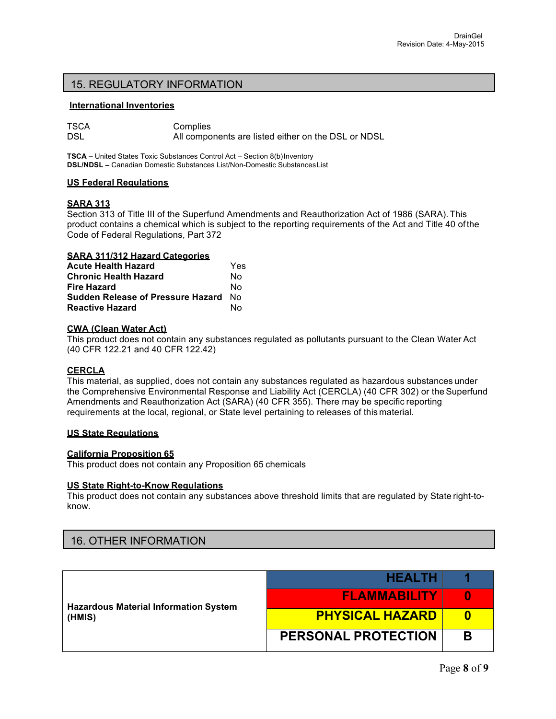# 15. REGULATORY INFORMATION

### **International Inventories**

| TSCA | Complies                                            |
|------|-----------------------------------------------------|
| DSL  | All components are listed either on the DSL or NDSL |

**TSCA –** United States Toxic Substances Control Act – Section 8(b)Inventory **DSL/NDSL –** Canadian Domestic Substances List/Non-Domestic SubstancesList

## **US Federal Regulations**

### **SARA 313**

Section 313 of Title III of the Superfund Amendments and Reauthorization Act of 1986 (SARA). This product contains a chemical which is subject to the reporting requirements of the Act and Title 40 ofthe Code of Federal Regulations, Part 372

### **SARA 311/312 Hazard Categories**

| <b>Acute Health Hazard</b>        | Yes |
|-----------------------------------|-----|
| <b>Chronic Health Hazard</b>      | N٥  |
| Fire Hazard                       | N٥  |
| Sudden Release of Pressure Hazard | N∩  |
| <b>Reactive Hazard</b>            | N٥  |

# **CWA (Clean Water Act)**

This product does not contain any substances regulated as pollutants pursuant to the Clean Water Act (40 CFR 122.21 and 40 CFR 122.42)

# **CERCLA**

This material, as supplied, does not contain any substances regulated as hazardous substances under the Comprehensive Environmental Response and Liability Act (CERCLA) (40 CFR 302) or the Superfund Amendments and Reauthorization Act (SARA) (40 CFR 355). There may be specific reporting requirements at the local, regional, or State level pertaining to releases of this material.

### **US State Regulations**

### **California Proposition 65**

This product does not contain any Proposition 65 chemicals

### **US State Right-to-Know Regulations**

This product does not contain any substances above threshold limits that are regulated by State right-toknow.

# 16. OTHER INFORMATION

| <b>Hazardous Material Information System</b><br>(HMIS) | <b>HEALTH</b>              |   |
|--------------------------------------------------------|----------------------------|---|
|                                                        | <b>FLAMMABILITY</b>        | 0 |
|                                                        | <b>PHYSICAL HAZARD</b>     | n |
|                                                        | <b>PERSONAL PROTECTION</b> | В |